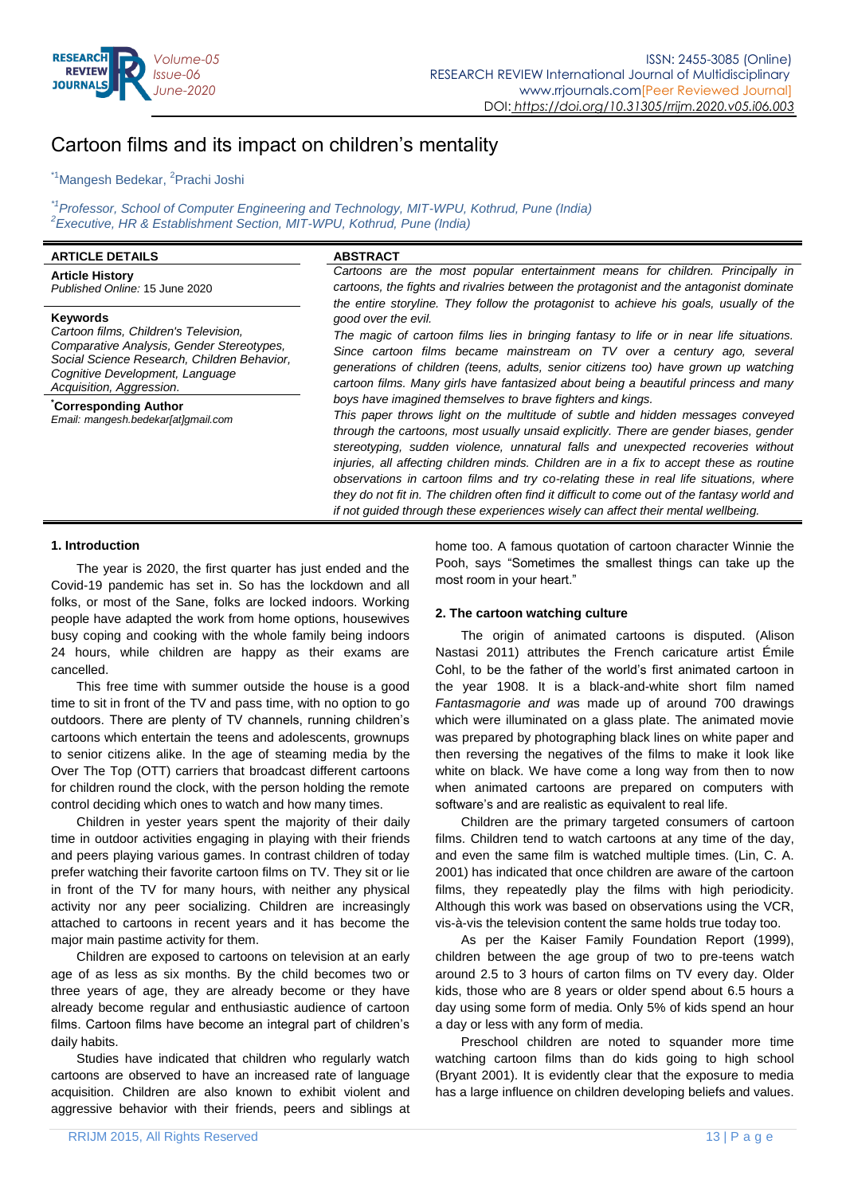

# Cartoon films and its impact on children"s mentality

<sup>\*1</sup>Mangesh Bedekar, <sup>2</sup>Prachi Joshi

*\*1Professor, School of Computer Engineering and Technology, MIT-WPU, Kothrud, Pune (India) 2 Executive, HR & Establishment Section, MIT-WPU, Kothrud, Pune (India)*

| <b>ARTICLE DETAILS</b>                                                                                                                                                                                                                                                                    | <b>ABSTRACT</b>                                                                                                                                                                                                                                                                                                                                                                                                                                                                                                                                                                                                                                                                                                                                                                                                                                                                                                                                                                                                                                                                   |  |  |
|-------------------------------------------------------------------------------------------------------------------------------------------------------------------------------------------------------------------------------------------------------------------------------------------|-----------------------------------------------------------------------------------------------------------------------------------------------------------------------------------------------------------------------------------------------------------------------------------------------------------------------------------------------------------------------------------------------------------------------------------------------------------------------------------------------------------------------------------------------------------------------------------------------------------------------------------------------------------------------------------------------------------------------------------------------------------------------------------------------------------------------------------------------------------------------------------------------------------------------------------------------------------------------------------------------------------------------------------------------------------------------------------|--|--|
| <b>Article History</b><br>Published Online: 15 June 2020                                                                                                                                                                                                                                  | Cartoons are the most popular entertainment means for children. Principally in<br>cartoons, the fights and rivalries between the protagonist and the antagonist dominate<br>the entire storyline. They follow the protagonist to achieve his goals, usually of the                                                                                                                                                                                                                                                                                                                                                                                                                                                                                                                                                                                                                                                                                                                                                                                                                |  |  |
| <b>Keywords</b><br>Cartoon films, Children's Television,<br>Comparative Analysis, Gender Stereotypes,<br>Social Science Research, Children Behavior,<br>Cognitive Development, Language<br>Acquisition, Aggression.<br><b>Corresponding Author</b><br>Email: mangesh.bedekar[at]gmail.com | good over the evil.<br>The magic of cartoon films lies in bringing fantasy to life or in near life situations.<br>Since cartoon films became mainstream on TV over a century ago, several<br>generations of children (teens, adults, senior citizens too) have grown up watching<br>cartoon films. Many girls have fantasized about being a beautiful princess and many<br>boys have imagined themselves to brave fighters and kings.<br>This paper throws light on the multitude of subtle and hidden messages conveyed<br>through the cartoons, most usually unsaid explicitly. There are gender biases, gender<br>stereotyping, sudden violence, unnatural falls and unexpected recoveries without<br>injuries, all affecting children minds. Children are in a fix to accept these as routine<br>observations in cartoon films and try co-relating these in real life situations, where<br>they do not fit in. The children often find it difficult to come out of the fantasy world and<br>if not guided through these experiences wisely can affect their mental wellbeing. |  |  |
|                                                                                                                                                                                                                                                                                           |                                                                                                                                                                                                                                                                                                                                                                                                                                                                                                                                                                                                                                                                                                                                                                                                                                                                                                                                                                                                                                                                                   |  |  |

## **1. Introduction**

The year is 2020, the first quarter has just ended and the Covid-19 pandemic has set in. So has the lockdown and all folks, or most of the Sane, folks are locked indoors. Working people have adapted the work from home options, housewives busy coping and cooking with the whole family being indoors 24 hours, while children are happy as their exams are cancelled.

This free time with summer outside the house is a good time to sit in front of the TV and pass time, with no option to go outdoors. There are plenty of TV channels, running children"s cartoons which entertain the teens and adolescents, grownups to senior citizens alike. In the age of steaming media by the Over The Top (OTT) carriers that broadcast different cartoons for children round the clock, with the person holding the remote control deciding which ones to watch and how many times.

Children in yester years spent the majority of their daily time in outdoor activities engaging in playing with their friends and peers playing various games. In contrast children of today prefer watching their favorite cartoon films on TV. They sit or lie in front of the TV for many hours, with neither any physical activity nor any peer socializing. Children are increasingly attached to cartoons in recent years and it has become the major main pastime activity for them.

Children are exposed to cartoons on television at an early age of as less as six months. By the child becomes two or three years of age, they are already become or they have already become regular and enthusiastic audience of cartoon films. Cartoon films have become an integral part of children"s daily habits.

Studies have indicated that children who regularly watch cartoons are observed to have an increased rate of language acquisition. Children are also known to exhibit violent and aggressive behavior with their friends, peers and siblings at home too. A famous quotation of cartoon character Winnie the Pooh, says "Sometimes the smallest things can take up the most room in your heart."

## **2. The cartoon watching culture**

The origin of animated cartoons is disputed. (Alison Nastasi 2011) attributes the French caricature artist Émile Cohl, to be the father of the world"s first animated cartoon in the year 1908. It is a black-and-white short film named *Fantasmagorie and wa*s made up of around 700 drawings which were illuminated on a glass plate. The animated movie was prepared by photographing black lines on white paper and then reversing the negatives of the films to make it look like white on black. We have come a long way from then to now when animated cartoons are prepared on computers with software"s and are realistic as equivalent to real life.

Children are the primary targeted consumers of cartoon films. Children tend to watch cartoons at any time of the day, and even the same film is watched multiple times. (Lin, C. A. 2001) has indicated that once children are aware of the cartoon films, they repeatedly play the films with high periodicity. Although this work was based on observations using the VCR, vis-à-vis the television content the same holds true today too.

As per the Kaiser Family Foundation Report (1999), children between the age group of two to pre-teens watch around 2.5 to 3 hours of carton films on TV every day. Older kids, those who are 8 years or older spend about 6.5 hours a day using some form of media. Only 5% of kids spend an hour a day or less with any form of media.

Preschool children are noted to squander more time watching cartoon films than do kids going to high school (Bryant 2001). It is evidently clear that the exposure to media has a large influence on children developing beliefs and values.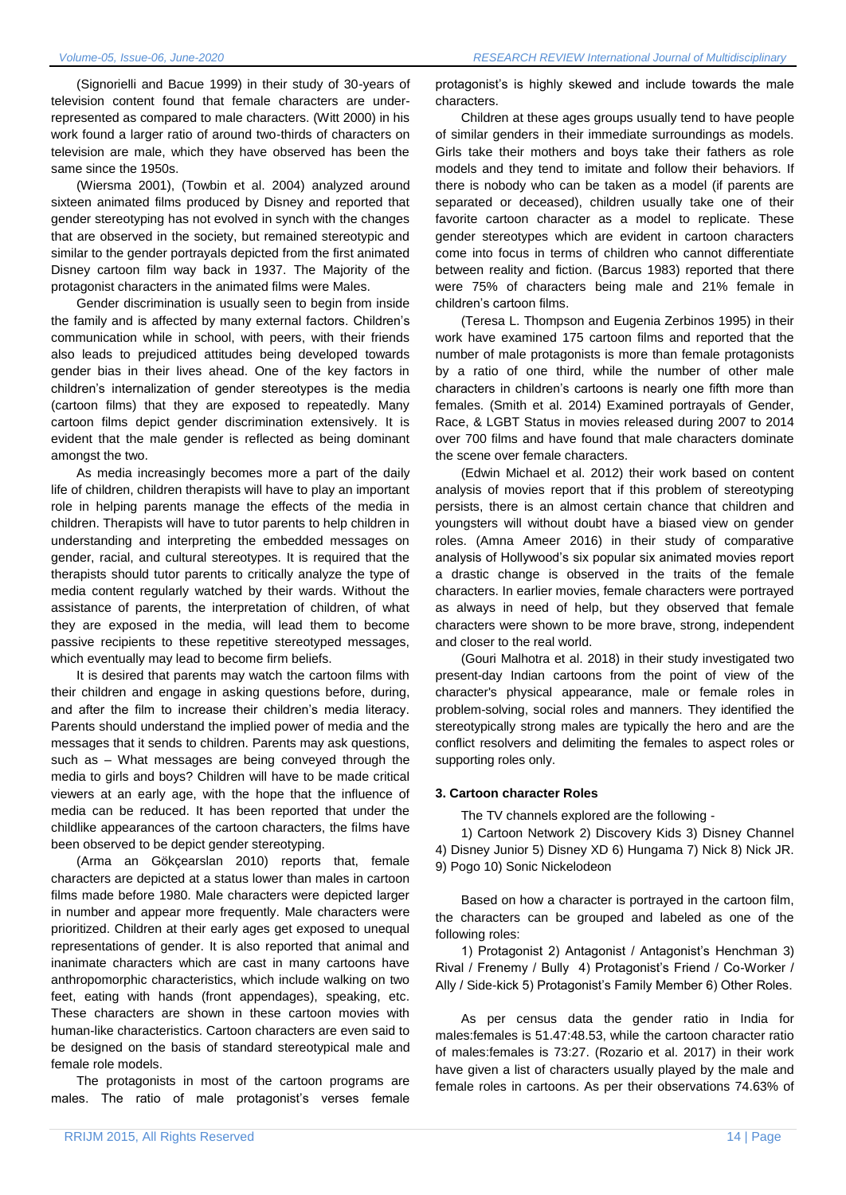(Signorielli and Bacue 1999) in their study of 30-years of television content found that female characters are underrepresented as compared to male characters. (Witt 2000) in his work found a larger ratio of around two-thirds of characters on television are male, which they have observed has been the same since the 1950s.

(Wiersma 2001), (Towbin et al. 2004) analyzed around sixteen animated films produced by Disney and reported that gender stereotyping has not evolved in synch with the changes that are observed in the society, but remained stereotypic and similar to the gender portrayals depicted from the first animated Disney cartoon film way back in 1937. The Majority of the protagonist characters in the animated films were Males.

Gender discrimination is usually seen to begin from inside the family and is affected by many external factors. Children"s communication while in school, with peers, with their friends also leads to prejudiced attitudes being developed towards gender bias in their lives ahead. One of the key factors in children"s internalization of gender stereotypes is the media (cartoon films) that they are exposed to repeatedly. Many cartoon films depict gender discrimination extensively. It is evident that the male gender is reflected as being dominant amongst the two.

As media increasingly becomes more a part of the daily life of children, children therapists will have to play an important role in helping parents manage the effects of the media in children. Therapists will have to tutor parents to help children in understanding and interpreting the embedded messages on gender, racial, and cultural stereotypes. It is required that the therapists should tutor parents to critically analyze the type of media content regularly watched by their wards. Without the assistance of parents, the interpretation of children, of what they are exposed in the media, will lead them to become passive recipients to these repetitive stereotyped messages, which eventually may lead to become firm beliefs.

It is desired that parents may watch the cartoon films with their children and engage in asking questions before, during, and after the film to increase their children's media literacy. Parents should understand the implied power of media and the messages that it sends to children. Parents may ask questions, such as – What messages are being conveyed through the media to girls and boys? Children will have to be made critical viewers at an early age, with the hope that the influence of media can be reduced. It has been reported that under the childlike appearances of the cartoon characters, the films have been observed to be depict gender stereotyping.

(Arma an Gökçearslan 2010) reports that, female characters are depicted at a status lower than males in cartoon films made before 1980. Male characters were depicted larger in number and appear more frequently. Male characters were prioritized. Children at their early ages get exposed to unequal representations of gender. It is also reported that animal and inanimate characters which are cast in many cartoons have anthropomorphic characteristics, which include walking on two feet, eating with hands (front appendages), speaking, etc. These characters are shown in these cartoon movies with human-like characteristics. Cartoon characters are even said to be designed on the basis of standard stereotypical male and female role models.

The protagonists in most of the cartoon programs are males. The ratio of male protagonist's verses female

protagonist's is highly skewed and include towards the male characters.

Children at these ages groups usually tend to have people of similar genders in their immediate surroundings as models. Girls take their mothers and boys take their fathers as role models and they tend to imitate and follow their behaviors. If there is nobody who can be taken as a model (if parents are separated or deceased), children usually take one of their favorite cartoon character as a model to replicate. These gender stereotypes which are evident in cartoon characters come into focus in terms of children who cannot differentiate between reality and fiction. (Barcus 1983) reported that there were 75% of characters being male and 21% female in children"s cartoon films.

(Teresa L. Thompson and Eugenia Zerbinos 1995) in their work have examined 175 cartoon films and reported that the number of male protagonists is more than female protagonists by a ratio of one third, while the number of other male characters in children"s cartoons is nearly one fifth more than females. (Smith et al. 2014) Examined portrayals of Gender, Race, & LGBT Status in movies released during 2007 to 2014 over 700 films and have found that male characters dominate the scene over female characters.

(Edwin Michael et al. 2012) their work based on content analysis of movies report that if this problem of stereotyping persists, there is an almost certain chance that children and youngsters will without doubt have a biased view on gender roles. (Amna Ameer 2016) in their study of comparative analysis of Hollywood"s six popular six animated movies report a drastic change is observed in the traits of the female characters. In earlier movies, female characters were portrayed as always in need of help, but they observed that female characters were shown to be more brave, strong, independent and closer to the real world.

(Gouri Malhotra et al. 2018) in their study investigated two present-day Indian cartoons from the point of view of the character's physical appearance, male or female roles in problem-solving, social roles and manners. They identified the stereotypically strong males are typically the hero and are the conflict resolvers and delimiting the females to aspect roles or supporting roles only.

#### **3. Cartoon character Roles**

The TV channels explored are the following -

1) Cartoon Network 2) Discovery Kids 3) Disney Channel 4) Disney Junior 5) Disney XD 6) Hungama 7) Nick 8) Nick JR. 9) Pogo 10) Sonic Nickelodeon

Based on how a character is portrayed in the cartoon film, the characters can be grouped and labeled as one of the following roles:

1) Protagonist 2) Antagonist / Antagonist's Henchman 3) Rival / Frenemy / Bully 4) Protagonist"s Friend / Co-Worker / Ally / Side-kick 5) Protagonist's Family Member 6) Other Roles.

As per census data the gender ratio in India for males:females is 51.47:48.53, while the cartoon character ratio of males:females is 73:27. (Rozario et al. 2017) in their work have given a list of characters usually played by the male and female roles in cartoons. As per their observations 74.63% of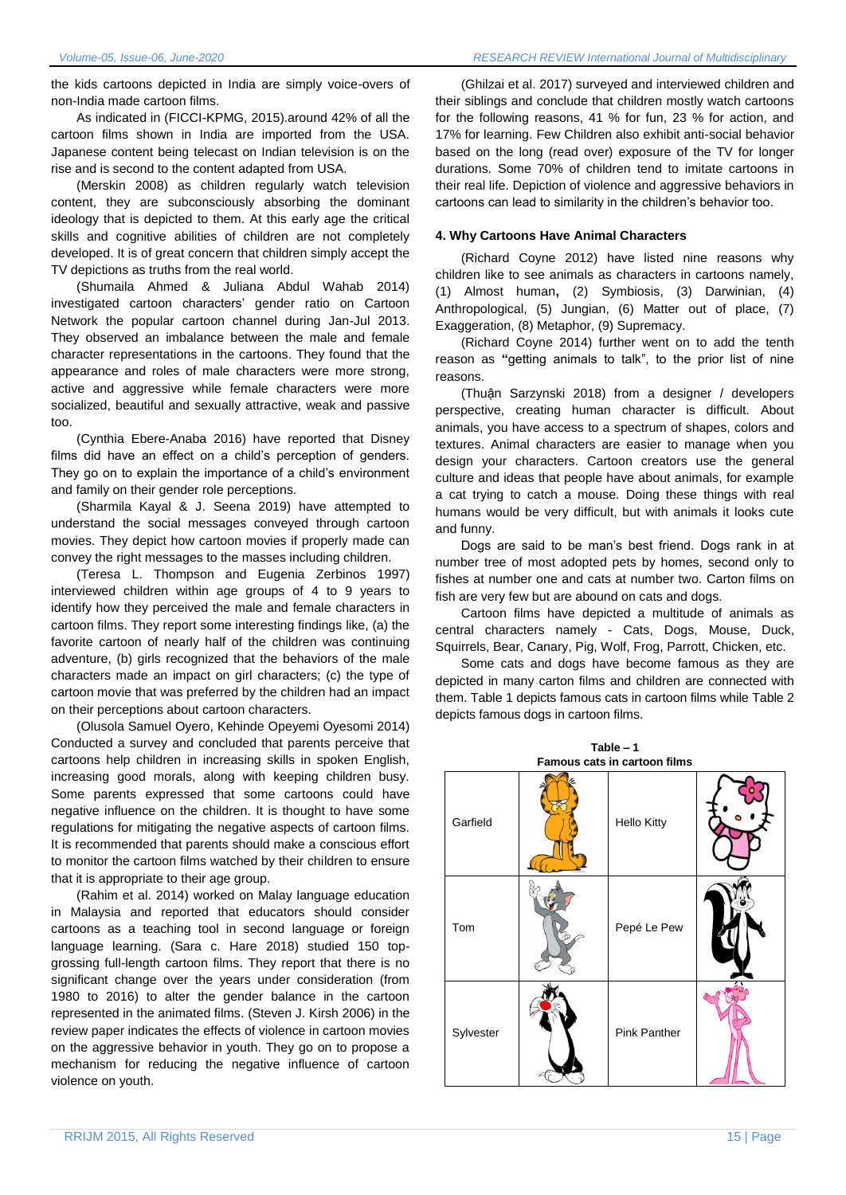the kids cartoons depicted in India are simply voice-overs of non-India made cartoon films.

As indicated in (FICCI-KPMG, 2015).around 42% of all the cartoon films shown in India are imported from the USA. Japanese content being telecast on Indian television is on the rise and is second to the content adapted from USA.

(Merskin 2008) as children regularly watch television content, they are subconsciously absorbing the dominant ideology that is depicted to them. At this early age the critical skills and cognitive abilities of children are not completely developed. It is of great concern that children simply accept the TV depictions as truths from the real world.

(Shumaila Ahmed & Juliana Abdul Wahab 2014) investigated cartoon characters" gender ratio on Cartoon Network the popular cartoon channel during Jan-Jul 2013. They observed an imbalance between the male and female character representations in the cartoons. They found that the appearance and roles of male characters were more strong, active and aggressive while female characters were more socialized, beautiful and sexually attractive, weak and passive too.

(Cynthia Ebere-Anaba 2016) have reported that Disney films did have an effect on a child"s perception of genders. They go on to explain the importance of a child's environment and family on their gender role perceptions.

(Sharmila Kayal & J. Seena 2019) have attempted to understand the social messages conveyed through cartoon movies. They depict how cartoon movies if properly made can convey the right messages to the masses including children.

(Teresa L. Thompson and Eugenia Zerbinos 1997) interviewed children within age groups of 4 to 9 years to identify how they perceived the male and female characters in cartoon films. They report some interesting findings like, (a) the favorite cartoon of nearly half of the children was continuing adventure, (b) girls recognized that the behaviors of the male characters made an impact on girl characters; (c) the type of cartoon movie that was preferred by the children had an impact on their perceptions about cartoon characters.

(Olusola Samuel Oyero, Kehinde Opeyemi Oyesomi 2014) Conducted a survey and concluded that parents perceive that cartoons help children in increasing skills in spoken English, increasing good morals, along with keeping children busy. Some parents expressed that some cartoons could have negative influence on the children. It is thought to have some regulations for mitigating the negative aspects of cartoon films. It is recommended that parents should make a conscious effort to monitor the cartoon films watched by their children to ensure that it is appropriate to their age group.

(Rahim et al. 2014) worked on Malay language education in Malaysia and reported that educators should consider cartoons as a teaching tool in second language or foreign language learning. (Sara c. Hare 2018) studied 150 topgrossing full-length cartoon films. They report that there is no significant change over the years under consideration (from 1980 to 2016) to alter the gender balance in the cartoon represented in the animated films. (Steven J. Kirsh 2006) in the review paper indicates the effects of violence in cartoon movies on the aggressive behavior in youth. They go on to propose a mechanism for reducing the negative influence of cartoon violence on youth.

(Ghilzai et al. 2017) surveyed and interviewed children and their siblings and conclude that children mostly watch cartoons for the following reasons, 41 % for fun, 23 % for action, and 17% for learning. Few Children also exhibit anti-social behavior based on the long (read over) exposure of the TV for longer durations. Some 70% of children tend to imitate cartoons in their real life. Depiction of violence and aggressive behaviors in cartoons can lead to similarity in the children"s behavior too.

### **4. Why Cartoons Have Animal Characters**

(Richard Coyne 2012) have listed nine reasons why children like to see animals as characters in cartoons namely, (1) Almost human**,** (2) Symbiosis, (3) Darwinian, (4) Anthropological, (5) Jungian, (6) Matter out of place, (7) Exaggeration, (8) Metaphor, (9) Supremacy.

(Richard Coyne 2014) further went on to add the tenth reason as **"**getting animals to talk", to the prior list of nine reasons.

(Thuận Sarzynski 2018) from a designer / developers perspective, creating human character is difficult. About animals, you have access to a spectrum of shapes, colors and textures. Animal characters are easier to manage when you design your characters. Cartoon creators use the general culture and ideas that people have about animals, for example a cat trying to catch a mouse. Doing these things with real humans would be very difficult, but with animals it looks cute and funny.

Dogs are said to be man"s best friend. Dogs rank in at number tree of most adopted pets by homes, second only to fishes at number one and cats at number two. Carton films on fish are very few but are abound on cats and dogs.

Cartoon films have depicted a multitude of animals as central characters namely - Cats, Dogs, Mouse, Duck, Squirrels, Bear, Canary, Pig, Wolf, Frog, Parrott, Chicken, etc.

Some cats and dogs have become famous as they are depicted in many carton films and children are connected with them. Table 1 depicts famous cats in cartoon films while Table 2 depicts famous dogs in cartoon films.

**Table – 1**

| Famous cats in cartoon films |  |                    |  |  |
|------------------------------|--|--------------------|--|--|
| Garfield                     |  | <b>Hello Kitty</b> |  |  |
| Tom                          |  | Pepé Le Pew        |  |  |
| Sylvester                    |  | Pink Panther       |  |  |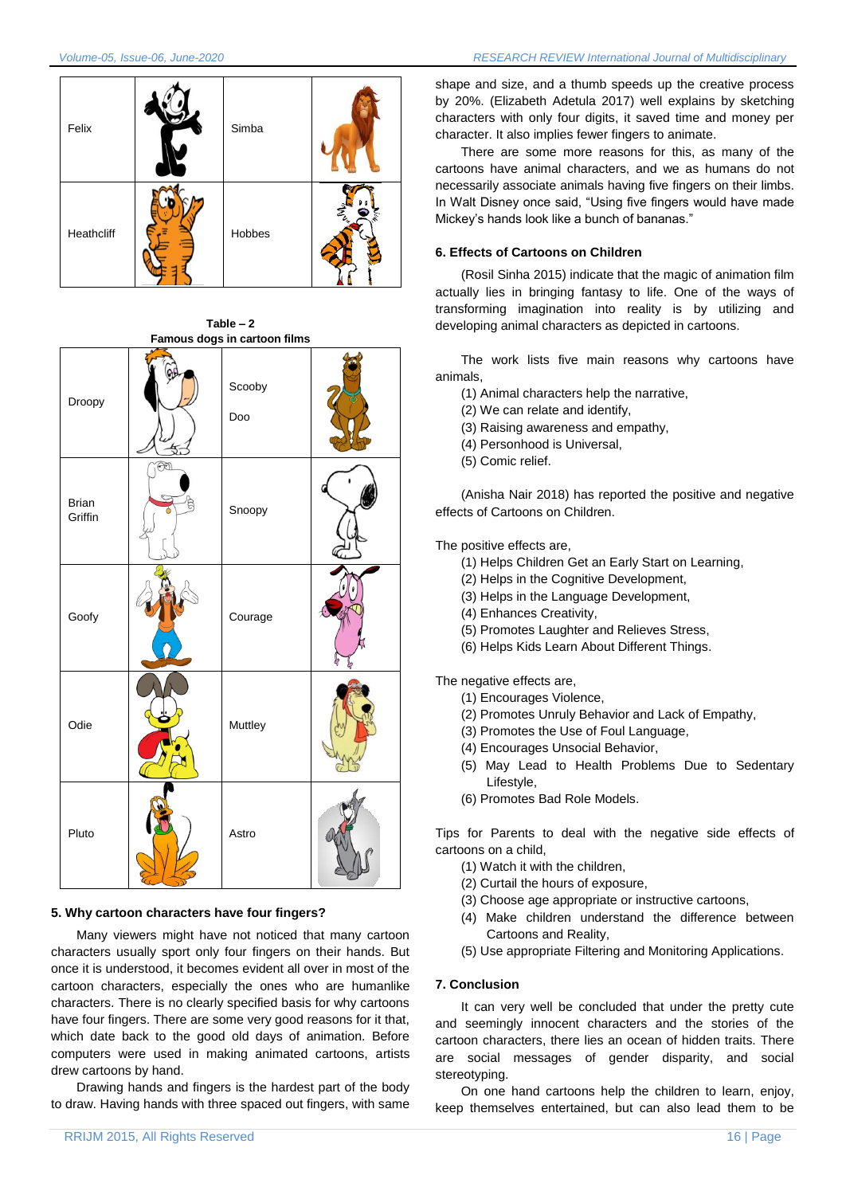

**Table – 2 Famous dogs in cartoon films** Droopy Scooby Doo Brian Griffin (COPS Snoopy Goofy | Courage Odie | Muttley Pluto  $\sqrt{2}$  Astro

## **5. Why cartoon characters have four fingers?**

Many viewers might have not noticed that many cartoon characters usually sport only four fingers on their hands. But once it is understood, it becomes evident all over in most of the cartoon characters, especially the ones who are humanlike characters. There is no clearly specified basis for why cartoons have four fingers. There are some very good reasons for it that, which date back to the good old days of animation. Before computers were used in making animated cartoons, artists drew cartoons by hand.

Drawing hands and fingers is the hardest part of the body to draw. Having hands with three spaced out fingers, with same

shape and size, and a thumb speeds up the creative process by 20%. (Elizabeth Adetula 2017) well explains by sketching characters with only four digits, it saved time and money per character. It also implies fewer fingers to animate.

There are some more reasons for this, as many of the cartoons have animal characters, and we as humans do not necessarily associate animals having five fingers on their limbs. In Walt Disney once said, "Using five fingers would have made Mickey"s hands look like a bunch of bananas."

## **6. Effects of Cartoons on Children**

(Rosil Sinha 2015) indicate that the magic of animation film actually lies in bringing fantasy to life. One of the ways of transforming imagination into reality is by utilizing and developing animal characters as depicted in cartoons.

The work lists five main reasons why cartoons have animals,

- (1) Animal characters help the narrative,
- (2) We can relate and identify,
- (3) Raising awareness and empathy,
- (4) Personhood is Universal,
- (5) Comic relief.

(Anisha Nair 2018) has reported the positive and negative effects of Cartoons on Children.

The positive effects are,

- (1) Helps Children Get an Early Start on Learning,
- (2) Helps in the Cognitive Development,
- (3) Helps in the Language Development,
- (4) Enhances Creativity,
- (5) Promotes Laughter and Relieves Stress,
- (6) Helps Kids Learn About Different Things.

The negative effects are,

- (1) Encourages Violence,
- (2) Promotes Unruly Behavior and Lack of Empathy,
- (3) Promotes the Use of Foul Language,
- (4) Encourages Unsocial Behavior,
- (5) May Lead to Health Problems Due to Sedentary Lifestyle,
- (6) Promotes Bad Role Models.

Tips for Parents to deal with the negative side effects of cartoons on a child,

- (1) Watch it with the children,
- (2) Curtail the hours of exposure,
- (3) Choose age appropriate or instructive cartoons,
- (4) Make children understand the difference between Cartoons and Reality,
- (5) Use appropriate Filtering and Monitoring Applications.

# **7. Conclusion**

It can very well be concluded that under the pretty cute and seemingly innocent characters and the stories of the cartoon characters, there lies an ocean of hidden traits. There are social messages of gender disparity, and social stereotyping.

On one hand cartoons help the children to learn, enjoy, keep themselves entertained, but can also lead them to be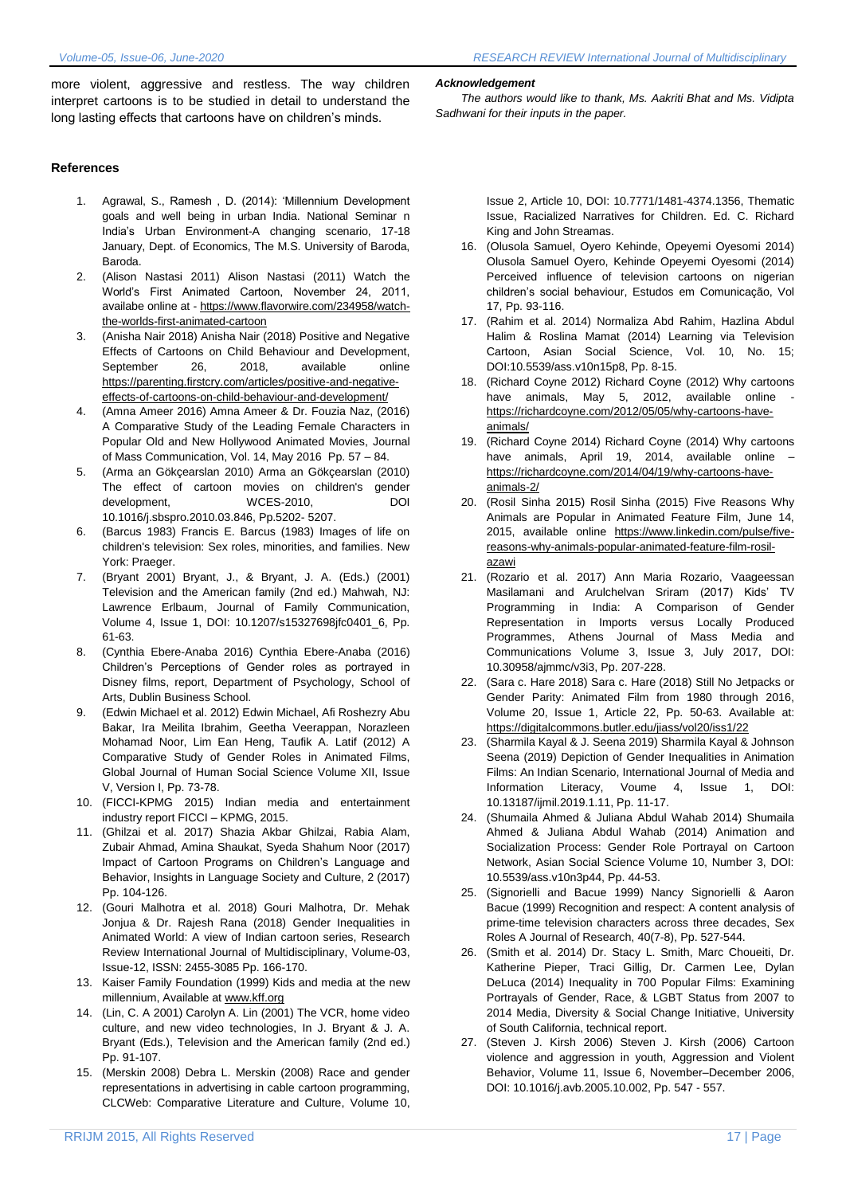more violent, aggressive and restless. The way children interpret cartoons is to be studied in detail to understand the long lasting effects that cartoons have on children's minds.

### **References**

- 1. Agrawal, S., Ramesh , D. (2014): "Millennium Development goals and well being in urban India. National Seminar n India"s Urban Environment-A changing scenario, 17-18 January, Dept. of Economics, The M.S. University of Baroda, Baroda.
- 2. (Alison Nastasi 2011) Alison Nastasi (2011) Watch the World"s First Animated Cartoon, November 24, 2011, availabe online at - [https://www.flavorwire.com/234958/watch](https://www.flavorwire.com/234958/watch-the-worlds-first-animated-cartoon)[the-worlds-first-animated-cartoon](https://www.flavorwire.com/234958/watch-the-worlds-first-animated-cartoon)
- 3. (Anisha Nair 2018) Anisha Nair (2018) Positive and Negative Effects of Cartoons on Child Behaviour and Development, September 26, 2018, available online [https://parenting.firstcry.com/articles/positive-and-negative](https://parenting.firstcry.com/articles/positive-and-negative-effects-of-cartoons-on-child-behaviour-and-development/)[effects-of-cartoons-on-child-behaviour-and-development/](https://parenting.firstcry.com/articles/positive-and-negative-effects-of-cartoons-on-child-behaviour-and-development/)
- 4. (Amna Ameer 2016) Amna Ameer & Dr. Fouzia Naz, (2016) A Comparative Study of the Leading Female Characters in Popular Old and New Hollywood Animated Movies, Journal of Mass Communication, Vol. 14, May 2016 Pp. 57 – 84.
- 5. (Arma an Gökçearslan 2010) Arma an Gökçearslan (2010) The effect of cartoon movies on children's gender development, WCES-2010, DOI 10.1016/j.sbspro.2010.03.846, Pp.5202- 5207.
- 6. (Barcus 1983) Francis E. Barcus (1983) Images of life on children's television: Sex roles, minorities, and families. New York: Praeger.
- 7. (Bryant 2001) Bryant, J., & Bryant, J. A. (Eds.) (2001) Television and the American family (2nd ed.) Mahwah, NJ: Lawrence Erlbaum, Journal of Family Communication, Volume 4, Issue 1, DOI: 10.1207/s15327698jfc0401\_6, Pp. 61-63.
- 8. (Cynthia Ebere-Anaba 2016) Cynthia Ebere-Anaba (2016) Children"s Perceptions of Gender roles as portrayed in Disney films, report, Department of Psychology, School of Arts, Dublin Business School.
- 9. (Edwin Michael et al. 2012) Edwin Michael, Afi Roshezry Abu Bakar, Ira Meilita Ibrahim, Geetha Veerappan, Norazleen Mohamad Noor, Lim Ean Heng, Taufik A. Latif (2012) A Comparative Study of Gender Roles in Animated Films, Global Journal of Human Social Science Volume XII, Issue V, Version I, Pp. 73-78.
- 10. (FICCI-KPMG 2015) Indian media and entertainment industry report FICCI – KPMG, 2015.
- 11. (Ghilzai et al. 2017) Shazia Akbar Ghilzai, Rabia Alam, Zubair Ahmad, Amina Shaukat, Syeda Shahum Noor (2017) Impact of Cartoon Programs on Children's Language and Behavior, Insights in Language Society and Culture, 2 (2017) Pp. 104-126.
- 12. (Gouri Malhotra et al. 2018) Gouri Malhotra, Dr. Mehak Jonjua & Dr. Rajesh Rana (2018) Gender Inequalities in Animated World: A view of Indian cartoon series, Research Review International Journal of Multidisciplinary, Volume-03, Issue-12, ISSN: 2455-3085 Pp. 166-170.
- 13. Kaiser Family Foundation (1999) Kids and media at the new millennium, Available a[t www.kff.org](http://www.kff.org/)
- 14. (Lin, C. A 2001) Carolyn A. Lin (2001) The VCR, home video culture, and new video technologies, In J. Bryant & J. A. Bryant (Eds.), Television and the American family (2nd ed.) Pp. 91-107.
- 15. (Merskin 2008) Debra L. Merskin (2008) Race and gender representations in advertising in cable cartoon programming, CLCWeb: Comparative Literature and Culture, Volume 10,

#### *Acknowledgement*

*The authors would like to thank, Ms. Aakriti Bhat and Ms. Vidipta Sadhwani for their inputs in the paper.*

> Issue 2, Article 10, DOI: 10.7771/1481-4374.1356, Thematic Issue, Racialized Narratives for Children. Ed. C. Richard King and John Streamas.

- 16. (Olusola Samuel, Oyero Kehinde, Opeyemi Oyesomi 2014) Olusola Samuel Oyero, Kehinde Opeyemi Oyesomi (2014) Perceived influence of television cartoons on nigerian children"s social behaviour, Estudos em Comunicação, Vol 17, Pp. 93-116.
- 17. (Rahim et al. 2014) Normaliza Abd Rahim, Hazlina Abdul Halim & Roslina Mamat (2014) Learning via Television Cartoon, Asian Social Science, Vol. 10, No. 15; DOI:10.5539/ass.v10n15p8, Pp. 8-15.
- 18. (Richard Coyne 2012) Richard Coyne (2012) Why cartoons have animals, May 5, 2012, available online [https://richardcoyne.com/2012/05/05/why-cartoons-have](https://richardcoyne.com/2012/05/05/why-cartoons-have-animals/)[animals/](https://richardcoyne.com/2012/05/05/why-cartoons-have-animals/)
- 19. (Richard Coyne 2014) Richard Coyne (2014) Why cartoons have animals, April 19, 2014, available online – [https://richardcoyne.com/2014/04/19/why-cartoons-have](https://richardcoyne.com/2014/04/19/why-cartoons-have-animals-2/)[animals-2/](https://richardcoyne.com/2014/04/19/why-cartoons-have-animals-2/)
- 20. (Rosil Sinha 2015) Rosil Sinha (2015) Five Reasons Why Animals are Popular in Animated Feature Film, June 14, 2015, available online [https://www.linkedin.com/pulse/five](https://www.linkedin.com/pulse/five-reasons-why-animals-popular-animated-feature-film-rosil-azawi)[reasons-why-animals-popular-animated-feature-film-rosil](https://www.linkedin.com/pulse/five-reasons-why-animals-popular-animated-feature-film-rosil-azawi)[azawi](https://www.linkedin.com/pulse/five-reasons-why-animals-popular-animated-feature-film-rosil-azawi)
- 21. (Rozario et al. 2017) Ann Maria Rozario, Vaageessan Masilamani and Arulchelvan Sriram (2017) Kids' TV Programming in India: A Comparison of Gender Representation in Imports versus Locally Produced Programmes, Athens Journal of Mass Media and Communications Volume 3, Issue 3, July 2017, DOI: 10.30958/ajmmc/v3i3, Pp. 207-228.
- 22. (Sara c. Hare 2018) Sara c. Hare (2018) Still No Jetpacks or Gender Parity: Animated Film from 1980 through 2016, Volume 20, Issue 1, Article 22, Pp. 50-63. Available at: <https://digitalcommons.butler.edu/jiass/vol20/iss1/22>
- 23. (Sharmila Kayal & J. Seena 2019) Sharmila Kayal & Johnson Seena (2019) Depiction of Gender Inequalities in Animation Films: An Indian Scenario, International Journal of Media and Information Literacy, Voume 4, Issue 1, DOI: 10.13187/ijmil.2019.1.11, Pp. 11-17.
- 24. (Shumaila Ahmed & Juliana Abdul Wahab 2014) Shumaila Ahmed & Juliana Abdul Wahab (2014) Animation and Socialization Process: Gender Role Portrayal on Cartoon Network, Asian Social Science Volume 10, Number 3, DOI: 10.5539/ass.v10n3p44, Pp. 44-53.
- 25. (Signorielli and Bacue 1999) Nancy Signorielli & Aaron Bacue (1999) Recognition and respect: A content analysis of prime-time television characters across three decades, Sex Roles A Journal of Research, 40(7-8), Pp. 527-544.
- 26. (Smith et al. 2014) Dr. Stacy L. Smith, Marc Choueiti, Dr. Katherine Pieper, Traci Gillig, Dr. Carmen Lee, Dylan DeLuca (2014) Inequality in 700 Popular Films: Examining Portrayals of Gender, Race, & LGBT Status from 2007 to 2014 Media, Diversity & Social Change Initiative, University of South California, technical report.
- 27. (Steven J. Kirsh 2006) Steven J. Kirsh (2006) Cartoon violence and aggression in youth, Aggression and Violent Behavior, Volume 11, Issue 6, November–December 2006, DOI: 10.1016/j.avb.2005.10.002, Pp. 547 - 557.